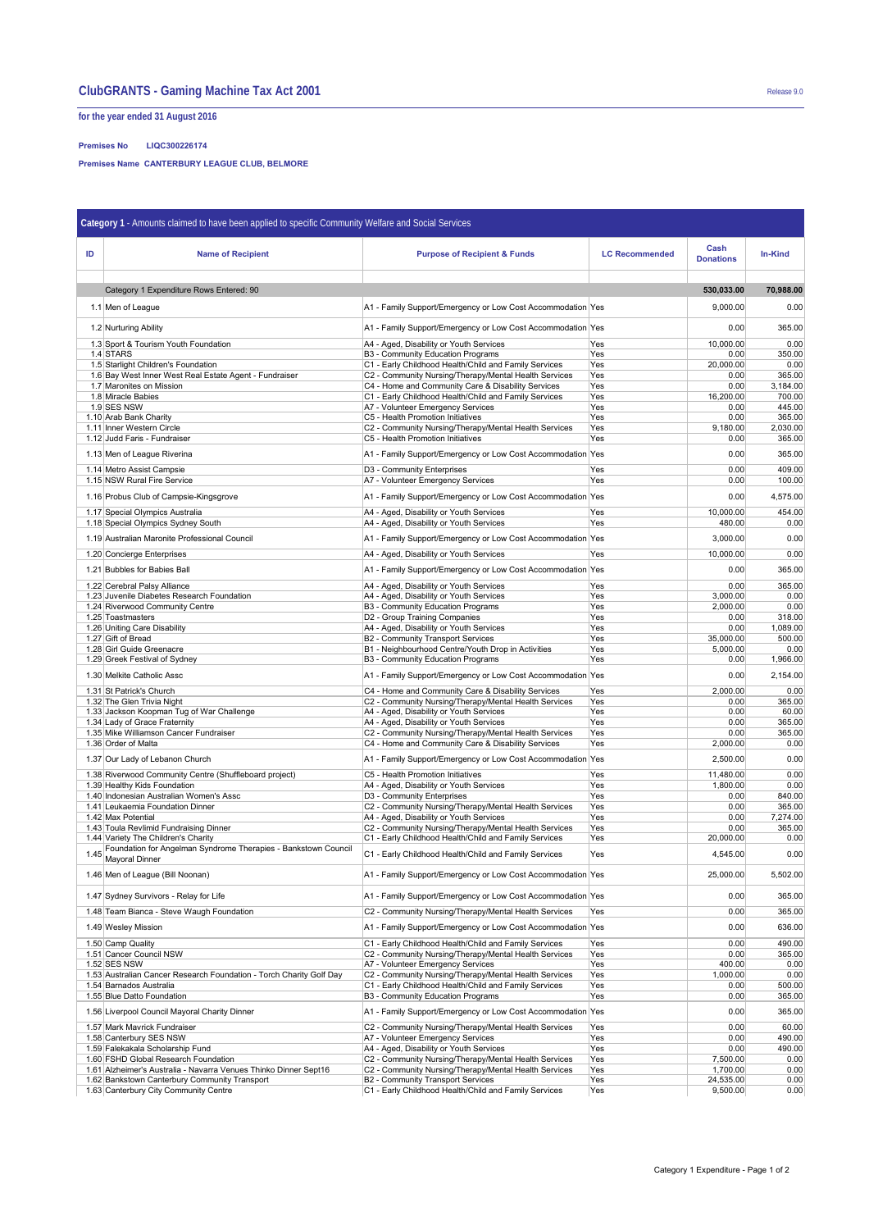## **ClubGRANTS - Gaming Machine Tax Act 2001** Release 9.0

**for the year ended 31 August 2016**

**Premises No LIQC300226174**

**Premises Name CANTERBURY LEAGUE CLUB, BELMORE**

| Category 1 - Amounts claimed to have been applied to specific Community Welfare and Social Services |                                                                                                                   |                                                                                                                      |                       |                          |                  |  |  |  |
|-----------------------------------------------------------------------------------------------------|-------------------------------------------------------------------------------------------------------------------|----------------------------------------------------------------------------------------------------------------------|-----------------------|--------------------------|------------------|--|--|--|
| ID                                                                                                  | <b>Name of Recipient</b>                                                                                          | <b>Purpose of Recipient &amp; Funds</b>                                                                              | <b>LC Recommended</b> | Cash<br><b>Donations</b> | In-Kind          |  |  |  |
|                                                                                                     | Category 1 Expenditure Rows Entered: 90                                                                           |                                                                                                                      |                       | 530,033.00               | 70,988.00        |  |  |  |
|                                                                                                     |                                                                                                                   |                                                                                                                      |                       |                          |                  |  |  |  |
|                                                                                                     | 1.1 Men of League                                                                                                 | A1 - Family Support/Emergency or Low Cost Accommodation Yes                                                          |                       | 9,000.00                 | 0.00             |  |  |  |
|                                                                                                     | 1.2 Nurturing Ability                                                                                             | A1 - Family Support/Emergency or Low Cost Accommodation Yes                                                          |                       | 0.00                     | 365.00           |  |  |  |
|                                                                                                     | 1.3 Sport & Tourism Youth Foundation                                                                              | A4 - Aged, Disability or Youth Services                                                                              | Yes                   | 10,000.00                | 0.00             |  |  |  |
|                                                                                                     | 1.4 STARS<br>1.5 Starlight Children's Foundation                                                                  | B3 - Community Education Programs<br>C1 - Early Childhood Health/Child and Family Services                           | Yes<br>Yes            | 0.00<br>20,000.00        | 350.00<br>0.00   |  |  |  |
|                                                                                                     | 1.6 Bay West Inner West Real Estate Agent - Fundraiser                                                            | C2 - Community Nursing/Therapy/Mental Health Services                                                                | Yes                   | 0.00                     | 365.00           |  |  |  |
|                                                                                                     | 1.7 Maronites on Mission                                                                                          | C4 - Home and Community Care & Disability Services                                                                   | Yes                   | 0.00                     | 3,184.00         |  |  |  |
|                                                                                                     | 1.8 Miracle Babies<br>1.9 SES NSW                                                                                 | C1 - Early Childhood Health/Child and Family Services<br>A7 - Volunteer Emergency Services                           | Yes<br>Yes            | 16,200.00<br>0.00        | 700.00<br>445.00 |  |  |  |
|                                                                                                     | 1.10 Arab Bank Charity                                                                                            | C5 - Health Promotion Initiatives                                                                                    | Yes                   | 0.00                     | 365.00           |  |  |  |
|                                                                                                     | 1.11 Inner Western Circle                                                                                         | C2 - Community Nursing/Therapy/Mental Health Services                                                                | Yes                   | 9,180.00                 | 2,030.00         |  |  |  |
|                                                                                                     | 1.12 Judd Faris - Fundraiser                                                                                      | C5 - Health Promotion Initiatives                                                                                    | Yes                   | 0.00                     | 365.00           |  |  |  |
|                                                                                                     | 1.13 Men of League Riverina                                                                                       | A1 - Family Support/Emergency or Low Cost Accommodation Yes                                                          |                       | 0.00                     | 365.00           |  |  |  |
|                                                                                                     | 1.14 Metro Assist Campsie                                                                                         | D3 - Community Enterprises                                                                                           | Yes                   | 0.00                     | 409.00           |  |  |  |
|                                                                                                     | 1.15 NSW Rural Fire Service                                                                                       | A7 - Volunteer Emergency Services                                                                                    | Yes                   | 0.00                     | 100.00           |  |  |  |
|                                                                                                     | 1.16 Probus Club of Campsie-Kingsgrove                                                                            | A1 - Family Support/Emergency or Low Cost Accommodation Yes                                                          |                       | 0.00                     | 4,575.00         |  |  |  |
|                                                                                                     | 1.17 Special Olympics Australia                                                                                   | A4 - Aged, Disability or Youth Services                                                                              | Yes                   | 10,000.00                | 454.00           |  |  |  |
|                                                                                                     | 1.18 Special Olympics Sydney South                                                                                | A4 - Aged, Disability or Youth Services                                                                              | Yes                   | 480.00                   | 0.00             |  |  |  |
|                                                                                                     | 1.19 Australian Maronite Professional Council                                                                     | A1 - Family Support/Emergency or Low Cost Accommodation Yes                                                          |                       | 3,000.00                 | 0.00             |  |  |  |
|                                                                                                     | 1.20 Concierge Enterprises                                                                                        | A4 - Aged, Disability or Youth Services                                                                              | Yes                   | 10.000.00                | 0.00             |  |  |  |
|                                                                                                     | 1.21 Bubbles for Babies Ball                                                                                      | A1 - Family Support/Emergency or Low Cost Accommodation Yes                                                          |                       | 0.00                     | 365.00           |  |  |  |
|                                                                                                     | 1.22 Cerebral Palsy Alliance<br>1.23 Juvenile Diabetes Research Foundation                                        | A4 - Aged, Disability or Youth Services<br>A4 - Aged, Disability or Youth Services                                   | Yes<br>Yes            | 0.00<br>3.000.00         | 365.00<br>0.00   |  |  |  |
|                                                                                                     | 1.24 Riverwood Community Centre                                                                                   | B3 - Community Education Programs                                                                                    | Yes                   | 2,000.00                 | 0.00             |  |  |  |
|                                                                                                     | 1.25 Toastmasters                                                                                                 | D2 - Group Training Companies                                                                                        | Yes                   | 0.00                     | 318.00           |  |  |  |
|                                                                                                     | 1.26 Uniting Care Disability                                                                                      | A4 - Aged, Disability or Youth Services                                                                              | Yes                   | 0.00                     | 1,089.00         |  |  |  |
|                                                                                                     | 1.27 Gift of Bread<br>1.28 Girl Guide Greenacre                                                                   | B2 - Community Transport Services                                                                                    | Yes<br>Yes            | 35,000.00<br>5,000.00    | 500.00<br>0.00   |  |  |  |
|                                                                                                     | 1.29 Greek Festival of Sydney                                                                                     | B1 - Neighbourhood Centre/Youth Drop in Activities<br>B3 - Community Education Programs                              | Yes                   | 0.00                     | 1,966.00         |  |  |  |
|                                                                                                     | 1.30 Melkite Catholic Assc                                                                                        | A1 - Family Support/Emergency or Low Cost Accommodation Yes                                                          |                       | 0.00                     | 2,154.00         |  |  |  |
|                                                                                                     | 1.31 St Patrick's Church                                                                                          | C4 - Home and Community Care & Disability Services                                                                   | Yes                   | 2,000.00                 | 0.00             |  |  |  |
|                                                                                                     | 1.32 The Glen Trivia Night<br>1.33 Jackson Koopman Tug of War Challenge                                           | C2 - Community Nursing/Therapy/Mental Health Services<br>A4 - Aged, Disability or Youth Services                     | Yes<br>Yes            | 0.00<br>0.00             | 365.00<br>60.00  |  |  |  |
|                                                                                                     | 1.34 Lady of Grace Fraternity                                                                                     | A4 - Aged, Disability or Youth Services                                                                              | Yes                   | 0.00                     | 365.00           |  |  |  |
|                                                                                                     | 1.35 Mike Williamson Cancer Fundraiser                                                                            | C2 - Community Nursing/Therapy/Mental Health Services                                                                | Yes                   | 0.00                     | 365.00           |  |  |  |
|                                                                                                     | 1.36 Order of Malta                                                                                               | C4 - Home and Community Care & Disability Services                                                                   | Yes                   | 2,000.00                 | 0.00             |  |  |  |
|                                                                                                     | 1.37 Our Lady of Lebanon Church                                                                                   | A1 - Family Support/Emergency or Low Cost Accommodation Yes                                                          |                       | 2,500.00                 | 0.00             |  |  |  |
|                                                                                                     | 1.38 Riverwood Community Centre (Shuffleboard project)<br>1.39 Healthy Kids Foundation                            | C5 - Health Promotion Initiatives<br>A4 - Aged, Disability or Youth Services                                         | Yes<br>Yes            | 11,480.00<br>1,800.00    | 0.00<br>0.00     |  |  |  |
|                                                                                                     | 1.40 Indonesian Australian Women's Assc                                                                           | D3 - Community Enterprises                                                                                           | Yes                   | 0.00                     | 840.00           |  |  |  |
|                                                                                                     | 1.41 Leukaemia Foundation Dinner                                                                                  | C2 - Community Nursing/Therapy/Mental Health Services                                                                | Yes                   | 0.00                     | 365.00           |  |  |  |
|                                                                                                     | 1.42 Max Potential                                                                                                | A4 - Aged, Disability or Youth Services                                                                              | Yes                   | 0.00                     | 7,274.00         |  |  |  |
|                                                                                                     | 1.43 Toula Revlimid Fundraising Dinner<br>1.44 Variety The Children's Charity                                     | C2 - Community Nursing/Therapy/Mental Health Services<br>C1 - Early Childhood Health/Child and Family Services       | Yes<br>Yes            | 0.00<br>20,000.00        | 365.00<br>0.00   |  |  |  |
| 1.45                                                                                                | Foundation for Angelman Syndrome Therapies - Bankstown Council<br>Mayoral Dinner                                  | C1 - Early Childhood Health/Child and Family Services                                                                | Yes                   | 4,545.00                 | 0.00             |  |  |  |
|                                                                                                     | 1.46 Men of League (Bill Noonan)                                                                                  | A1 - Family Support/Emergency or Low Cost Accommodation Yes                                                          |                       | 25,000.00                | 5,502.00         |  |  |  |
|                                                                                                     | 1.47 Sydney Survivors - Relay for Life                                                                            | A1 - Family Support/Emergency or Low Cost Accommodation Yes                                                          |                       | 0.00                     | 365.00           |  |  |  |
|                                                                                                     | 1.48 Team Bianca - Steve Waugh Foundation                                                                         | C2 - Community Nursing/Therapy/Mental Health Services                                                                | Yes                   | 0.00                     | 365.00           |  |  |  |
|                                                                                                     | 1.49 Wesley Mission                                                                                               | A1 - Family Support/Emergency or Low Cost Accommodation Yes                                                          |                       | 0.00                     | 636.00           |  |  |  |
|                                                                                                     | 1.50 Camp Quality                                                                                                 | C1 - Early Childhood Health/Child and Family Services                                                                | Yes                   | 0.00                     | 490.00           |  |  |  |
|                                                                                                     | 1.51 Cancer Council NSW<br>1.52 SES NSW                                                                           | C2 - Community Nursing/Therapy/Mental Health Services<br>A7 - Volunteer Emergency Services                           | Yes<br>Yes            | 0.00<br>400.00           | 365.00<br>0.00   |  |  |  |
|                                                                                                     | 1.53 Australian Cancer Research Foundation - Torch Charity Golf Day                                               | C2 - Community Nursing/Therapy/Mental Health Services                                                                | Yes                   | 1,000.00                 | 0.00             |  |  |  |
|                                                                                                     | 1.54 Barnados Australia                                                                                           | C1 - Early Childhood Health/Child and Family Services                                                                | Yes                   | 0.00                     | 500.00           |  |  |  |
|                                                                                                     | 1.55 Blue Datto Foundation                                                                                        | B3 - Community Education Programs                                                                                    | Yes                   | 0.00                     | 365.00           |  |  |  |
|                                                                                                     | 1.56 Liverpool Council Mayoral Charity Dinner<br>1.57 Mark Mavrick Fundraiser                                     | A1 - Family Support/Emergency or Low Cost Accommodation Yes<br>C2 - Community Nursing/Therapy/Mental Health Services | Yes                   | 0.00<br>0.00             | 365.00<br>60.00  |  |  |  |
|                                                                                                     | 1.58 Canterbury SES NSW                                                                                           | A7 - Volunteer Emergency Services                                                                                    | Yes                   | 0.00                     | 490.00           |  |  |  |
|                                                                                                     | 1.59 Falekakala Scholarship Fund                                                                                  | A4 - Aged, Disability or Youth Services                                                                              | Yes                   | 0.00                     | 490.00           |  |  |  |
|                                                                                                     | 1.60 FSHD Global Research Foundation                                                                              | C2 - Community Nursing/Therapy/Mental Health Services                                                                | Yes                   | 7,500.00                 | 0.00             |  |  |  |
|                                                                                                     | 1.61 Alzheimer's Australia - Navarra Venues Thinko Dinner Sept16<br>1.62 Bankstown Canterbury Community Transport | C2 - Community Nursing/Therapy/Mental Health Services<br>B2 - Community Transport Services                           | Yes<br>Yes            | 1,700.00<br>24,535.00    | 0.00<br>0.00     |  |  |  |
|                                                                                                     | 1.63 Canterbury City Community Centre                                                                             | C1 - Early Childhood Health/Child and Family Services                                                                | Yes                   | 9,500.00                 | 0.00             |  |  |  |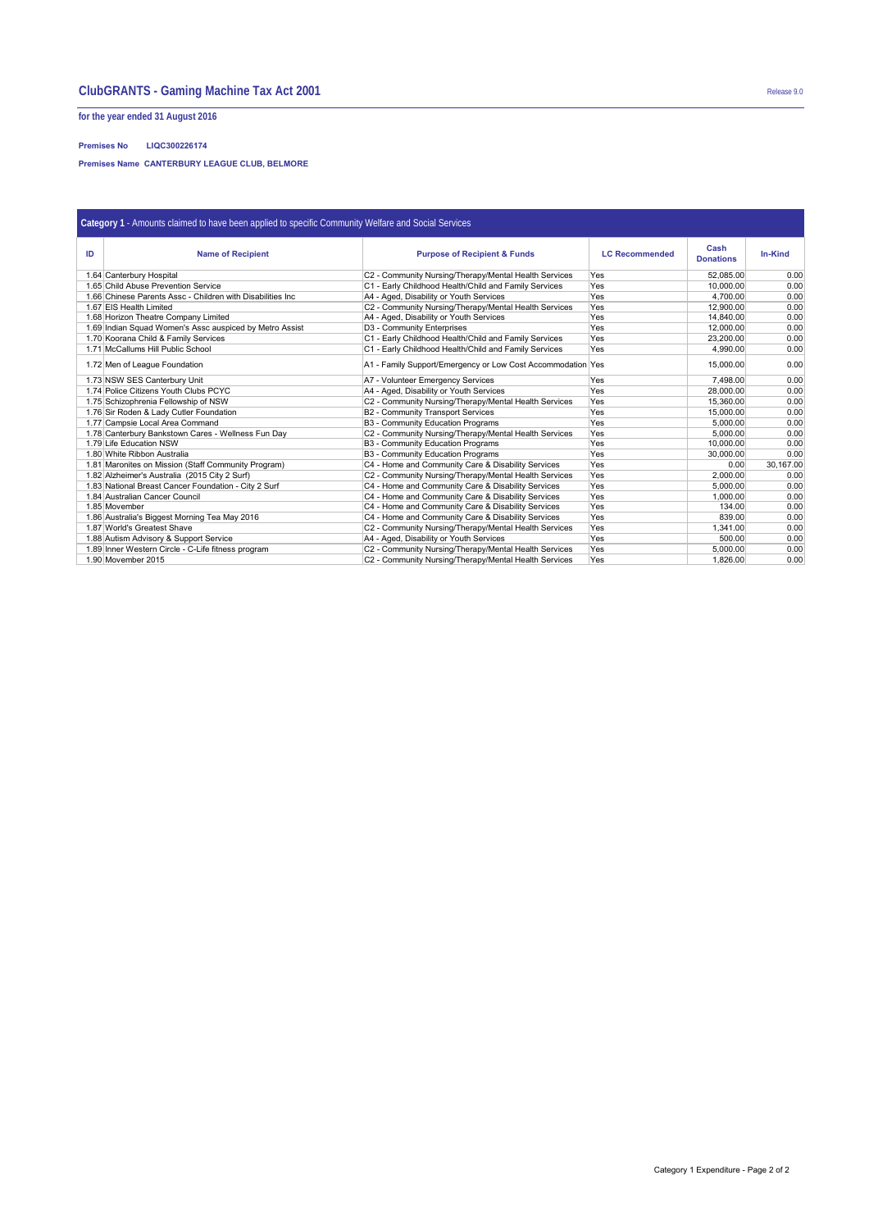**for the year ended 31 August 2016**

**Premises No LIQC300226174**

**Premises Name CANTERBURY LEAGUE CLUB, BELMORE**

| Category 1 - Amounts claimed to have been applied to specific Community Welfare and Social Services |                                                            |                                                                  |     |                          |           |  |  |  |
|-----------------------------------------------------------------------------------------------------|------------------------------------------------------------|------------------------------------------------------------------|-----|--------------------------|-----------|--|--|--|
| ID                                                                                                  | <b>Name of Recipient</b>                                   | <b>Purpose of Recipient &amp; Funds</b><br><b>LC Recommended</b> |     | Cash<br><b>Donations</b> | In-Kind   |  |  |  |
|                                                                                                     | 1.64 Canterbury Hospital                                   | C2 - Community Nursing/Therapy/Mental Health Services            | Yes | 52.085.00                | 0.00      |  |  |  |
|                                                                                                     | 1.65 Child Abuse Prevention Service                        | C1 - Early Childhood Health/Child and Family Services            | Yes | 10.000.00                | 0.00      |  |  |  |
|                                                                                                     | 1.66 Chinese Parents Assc - Children with Disabilities Inc | A4 - Aged, Disability or Youth Services                          | Yes | 4,700.00                 | 0.00      |  |  |  |
|                                                                                                     | 1.67 EIS Health Limited                                    | C2 - Community Nursing/Therapy/Mental Health Services            | Yes | 12,900.00                | 0.00      |  |  |  |
|                                                                                                     | 1.68 Horizon Theatre Company Limited                       | A4 - Aged, Disability or Youth Services                          | Yes | 14,840.00                | 0.00      |  |  |  |
|                                                                                                     | 1.69 Indian Squad Women's Assc auspiced by Metro Assist    | D3 - Community Enterprises                                       | Yes | 12,000.00                | 0.00      |  |  |  |
|                                                                                                     | 1.70 Koorana Child & Family Services                       | C1 - Early Childhood Health/Child and Family Services            | Yes | 23.200.00                | 0.00      |  |  |  |
|                                                                                                     | 1.71 McCallums Hill Public School                          | C1 - Early Childhood Health/Child and Family Services            | Yes | 4.990.00                 | 0.00      |  |  |  |
|                                                                                                     | 1.72 Men of League Foundation                              | A1 - Family Support/Emergency or Low Cost Accommodation Yes      |     | 15,000.00                | 0.00      |  |  |  |
|                                                                                                     | 1.73 NSW SES Canterbury Unit                               | A7 - Volunteer Emergency Services                                | Yes | 7.498.00                 | 0.00      |  |  |  |
|                                                                                                     | 1.74 Police Citizens Youth Clubs PCYC                      | A4 - Aged, Disability or Youth Services                          | Yes | 28,000.00                | 0.00      |  |  |  |
|                                                                                                     | 1.75 Schizophrenia Fellowship of NSW                       | C2 - Community Nursing/Therapy/Mental Health Services            | Yes | 15,360.00                | 0.00      |  |  |  |
|                                                                                                     | 1.76 Sir Roden & Lady Cutler Foundation                    | B2 - Community Transport Services                                | Yes | 15,000.00                | 0.00      |  |  |  |
|                                                                                                     | 1.77 Campsie Local Area Command                            | <b>B3 - Community Education Programs</b>                         | Yes | 5.000.00                 | 0.00      |  |  |  |
|                                                                                                     | 1.78 Canterbury Bankstown Cares - Wellness Fun Day         | C2 - Community Nursing/Therapy/Mental Health Services            | Yes | 5.000.00                 | 0.00      |  |  |  |
|                                                                                                     | 1.79 Life Education NSW                                    | <b>B3 - Community Education Programs</b>                         | Yes | 10,000.00                | 0.00      |  |  |  |
|                                                                                                     | 1.80 White Ribbon Australia                                | <b>B3 - Community Education Programs</b>                         | Yes | 30,000,00                | 0.00      |  |  |  |
|                                                                                                     | 1.81 Maronites on Mission (Staff Community Program)        | C4 - Home and Community Care & Disability Services               | Yes | 0.00                     | 30,167.00 |  |  |  |
|                                                                                                     | 1.82 Alzheimer's Australia (2015 City 2 Surf)              | C2 - Community Nursing/Therapy/Mental Health Services            | Yes | 2,000.00                 | 0.00      |  |  |  |
|                                                                                                     | 1.83 National Breast Cancer Foundation - City 2 Surf       | C4 - Home and Community Care & Disability Services               | Yes | 5,000.00                 | 0.00      |  |  |  |
|                                                                                                     | 1.84 Australian Cancer Council                             | C4 - Home and Community Care & Disability Services               | Yes | 1,000.00                 | 0.00      |  |  |  |
|                                                                                                     | 1.85 Movember                                              | C4 - Home and Community Care & Disability Services               | Yes | 134.00                   | 0.00      |  |  |  |
|                                                                                                     | 1.86 Australia's Biggest Morning Tea May 2016              | C4 - Home and Community Care & Disability Services               | Yes | 839.00                   | 0.00      |  |  |  |
|                                                                                                     | 1.87 World's Greatest Shave                                | C2 - Community Nursing/Therapy/Mental Health Services            | Yes | 1.341.00                 | 0.00      |  |  |  |
|                                                                                                     | 1.88 Autism Advisory & Support Service                     | A4 - Aged, Disability or Youth Services                          | Yes | 500.00                   | 0.00      |  |  |  |
|                                                                                                     | 1.89 Inner Western Circle - C-Life fitness program         | C2 - Community Nursing/Therapy/Mental Health Services            | Yes | 5.000.00                 | 0.00      |  |  |  |
|                                                                                                     | 1.90 Movember 2015                                         | C2 - Community Nursing/Therapy/Mental Health Services            | Yes | 1,826.00                 | 0.00      |  |  |  |